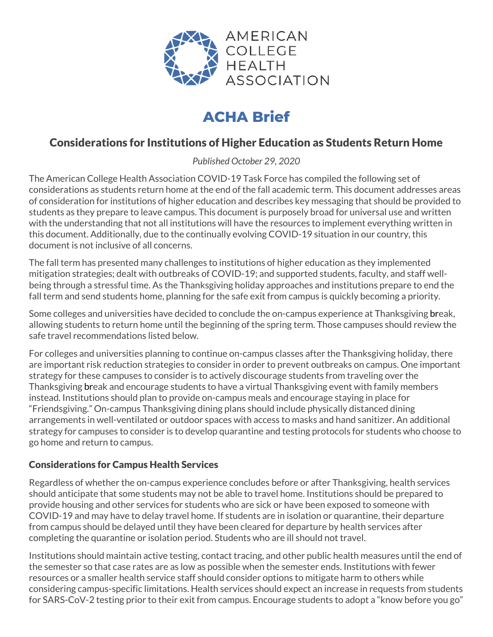

# **ACHA Brief**

# Considerations for Institutions of Higher Education as Students Return Home

*Published October 29, 2020*

The American College Health Association COVID-19 Task Force has compiled the following set of considerations as students return home at the end of the fall academic term. This document addresses areas of consideration for institutions of higher education and describes key messaging that should be provided to students as they prepare to leave campus. This document is purposely broad for universal use and written with the understanding that not all institutions will have the resources to implement everything written in this document. Additionally, due to the continually evolving COVID-19 situation in our country, this document is not inclusive of all concerns.

The fall term has presented many challenges to institutions of higher education as they implemented mitigation strategies; dealt with outbreaks of COVID-19; and supported students, faculty, and staff wellbeing through a stressful time. As the Thanksgiving holiday approaches and institutions prepare to end the fall term and send students home, planning for the safe exit from campus is quickly becoming a priority.

Some colleges and universities have decided to conclude the on-campus experience at Thanksgiving break, allowing students to return home until the beginning of the spring term. Those campuses should review the safe travel recommendations listed below.

For colleges and universities planning to continue on-campus classes after the Thanksgiving holiday, there are important risk reduction strategies to consider in order to prevent outbreaks on campus. One important strategy for these campuses to consider is to actively discourage students from traveling over the Thanksgiving break and encourage students to have a virtual Thanksgiving event with family members instead. Institutions should plan to provide on-campus meals and encourage staying in place for "Friendsgiving." On-campus Thanksgiving dining plans should include physically distanced dining arrangements in well-ventilated or outdoor spaces with access to masks and hand sanitizer. An additional strategy for campuses to consider is to develop quarantine and testing protocols for students who choose to go home and return to campus.

## Considerations for Campus Health Services

Regardless of whether the on-campus experience concludes before or after Thanksgiving, health services should anticipate that some students may not be able to travel home. Institutions should be prepared to provide housing and other services for students who are sick or have been exposed to someone with COVID-19 and may have to delay travel home. If students are in isolation or quarantine, their departure from campus should be delayed until they have been cleared for departure by health services after completing the quarantine or isolation period. Students who are ill should not travel.

Institutions should maintain active testing, contact tracing, and other public health measures until the end of the semester so that case rates are as low as possible when the semester ends. Institutions with fewer resources or a smaller health service staff should consider options to mitigate harm to others while considering campus-specific limitations. Health services should expect an increase in requests from students for SARS-CoV-2 testing prior to their exit from campus. Encourage students to adopt a "know before you go"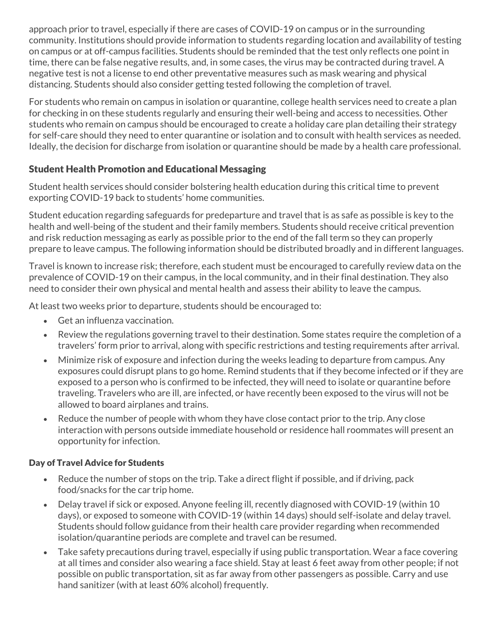approach prior to travel, especially if there are cases of COVID-19 on campus or in the surrounding community. Institutions should provide information to students regarding location and availability of testing on campus or at off-campus facilities. Students should be reminded that the test only reflects one point in time, there can be false negative results, and, in some cases, the virus may be contracted during travel. A negative test is not a license to end other preventative measures such as mask wearing and physical distancing. Students should also consider getting tested following the completion of travel.

For students who remain on campus in isolation or quarantine, college health services need to create a plan for checking in on these students regularly and ensuring their well-being and access to necessities. Other students who remain on campus should be encouraged to create a holiday care plan detailing their strategy for self-care should they need to enter quarantine or isolation and to consult with health services as needed. Ideally, the decision for discharge from isolation or quarantine should be made by a health care professional.

### Student Health Promotion and Educational Messaging

Student health services should consider bolstering health education during this critical time to prevent exporting COVID-19 back to students' home communities.

Student education regarding safeguards for predeparture and travel that is as safe as possible is key to the health and well-being of the student and their family members. Students should receive critical prevention and risk reduction messaging as early as possible prior to the end of the fall term so they can properly prepare to leave campus. The following information should be distributed broadly and in different languages.

Travel is known to increase risk; therefore, each student must be encouraged to carefully review data on the prevalence of COVID-19 on their campus, in the local community, and in their final destination. They also need to consider their own physical and mental health and assess their ability to leave the campus.

At least two weeks prior to departure, students should be encouraged to:

- Get an influenza vaccination.
- Review the regulations governing travel to their destination. Some states require the completion of a travelers' form prior to arrival, along with specific restrictions and testing requirements after arrival.
- Minimize risk of exposure and infection during the weeks leading to departure from campus. Any exposures could disrupt plans to go home. Remind students that if they become infected or if they are exposed to a person who is confirmed to be infected, they will need to isolate or quarantine before traveling. Travelers who are ill, are infected, or have recently been exposed to the virus will not be allowed to board airplanes and trains.
- Reduce the number of people with whom they have close contact prior to the trip. Any close interaction with persons outside immediate household or residence hall roommates will present an opportunity for infection.

#### Day of Travel Advice for Students

- Reduce the number of stops on the trip. Take a direct flight if possible, and if driving, pack food/snacks for the car trip home.
- Delay travel if sick or exposed. Anyone feeling ill, recently diagnosed with COVID-19 (within 10 days), or exposed to someone with COVID-19 (within 14 days) should self-isolate and delay travel. Students should follow guidance from their health care provider regarding when recommended isolation/quarantine periods are complete and travel can be resumed.
- Take safety precautions during travel, especially if using public transportation. Wear a face covering at all times and consider also wearing a face shield. Stay at least 6 feet away from other people; if not possible on public transportation, sit as far away from other passengers as possible. Carry and use hand sanitizer (with at least 60% alcohol) frequently.